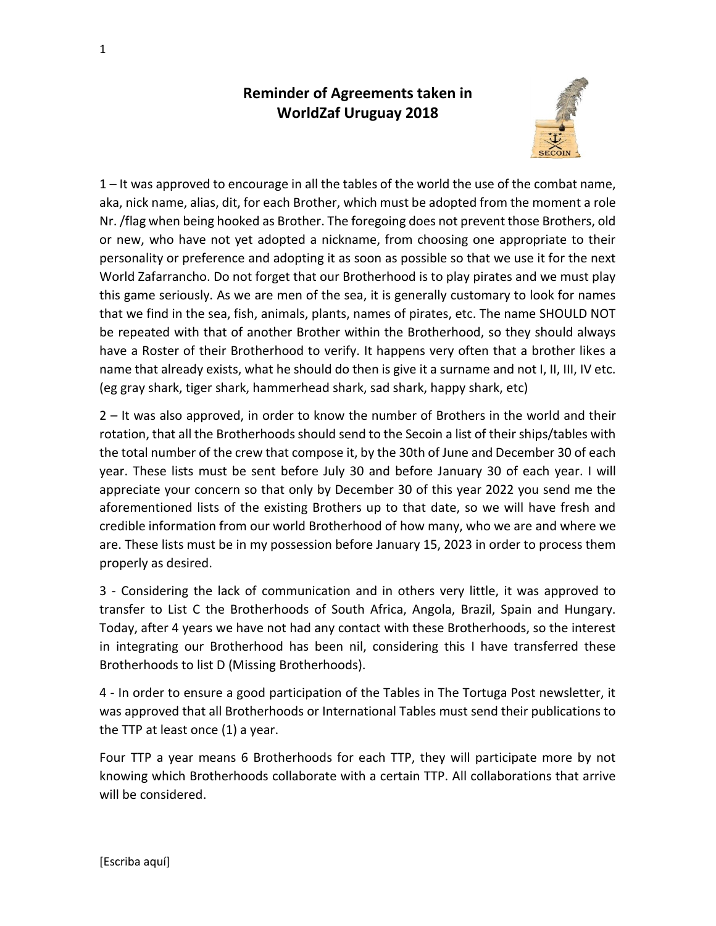## **Reminder of Agreements taken in WorldZaf Uruguay 2018**



1 – It was approved to encourage in all the tables of the world the use of the combat name, aka, nick name, alias, dit, for each Brother, which must be adopted from the moment a role Nr. /flag when being hooked as Brother. The foregoing does not prevent those Brothers, old or new, who have not yet adopted a nickname, from choosing one appropriate to their personality or preference and adopting it as soon as possible so that we use it for the next World Zafarrancho. Do not forget that our Brotherhood is to play pirates and we must play this game seriously. As we are men of the sea, it is generally customary to look for names that we find in the sea, fish, animals, plants, names of pirates, etc. The name SHOULD NOT be repeated with that of another Brother within the Brotherhood, so they should always have a Roster of their Brotherhood to verify. It happens very often that a brother likes a name that already exists, what he should do then is give it a surname and not I, II, III, IV etc. (eg gray shark, tiger shark, hammerhead shark, sad shark, happy shark, etc)

2 – It was also approved, in order to know the number of Brothers in the world and their rotation, that all the Brotherhoods should send to the Secoin a list of their ships/tables with the total number of the crew that compose it, by the 30th of June and December 30 of each year. These lists must be sent before July 30 and before January 30 of each year. I will appreciate your concern so that only by December 30 of this year 2022 you send me the aforementioned lists of the existing Brothers up to that date, so we will have fresh and credible information from our world Brotherhood of how many, who we are and where we are. These lists must be in my possession before January 15, 2023 in order to process them properly as desired.

3 - Considering the lack of communication and in others very little, it was approved to transfer to List C the Brotherhoods of South Africa, Angola, Brazil, Spain and Hungary. Today, after 4 years we have not had any contact with these Brotherhoods, so the interest in integrating our Brotherhood has been nil, considering this I have transferred these Brotherhoods to list D (Missing Brotherhoods).

4 - In order to ensure a good participation of the Tables in The Tortuga Post newsletter, it was approved that all Brotherhoods or International Tables must send their publications to the TTP at least once (1) a year.

Four TTP a year means 6 Brotherhoods for each TTP, they will participate more by not knowing which Brotherhoods collaborate with a certain TTP. All collaborations that arrive will be considered.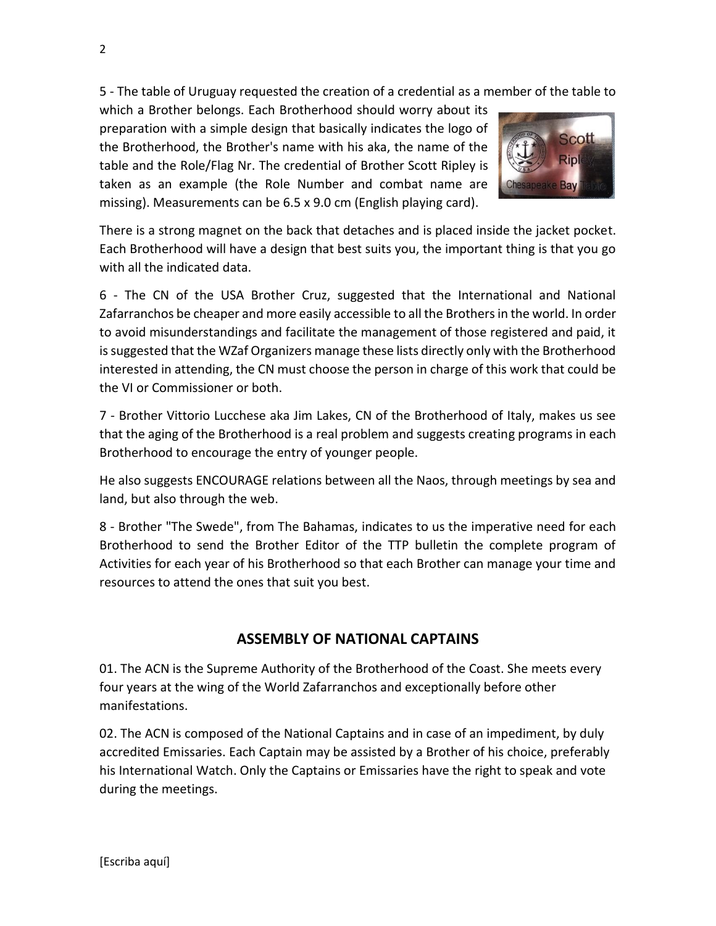5 - The table of Uruguay requested the creation of a credential as a member of the table to

which a Brother belongs. Each Brotherhood should worry about its preparation with a simple design that basically indicates the logo of the Brotherhood, the Brother's name with his aka, the name of the table and the Role/Flag Nr. The credential of Brother Scott Ripley is taken as an example (the Role Number and combat name are missing). Measurements can be 6.5 x 9.0 cm (English playing card).



There is a strong magnet on the back that detaches and is placed inside the jacket pocket. Each Brotherhood will have a design that best suits you, the important thing is that you go with all the indicated data.

6 - The CN of the USA Brother Cruz, suggested that the International and National Zafarranchos be cheaper and more easily accessible to all the Brothers in the world. In order to avoid misunderstandings and facilitate the management of those registered and paid, it is suggested that the WZaf Organizers manage these lists directly only with the Brotherhood interested in attending, the CN must choose the person in charge of this work that could be the VI or Commissioner or both.

7 - Brother Vittorio Lucchese aka Jim Lakes, CN of the Brotherhood of Italy, makes us see that the aging of the Brotherhood is a real problem and suggests creating programs in each Brotherhood to encourage the entry of younger people.

He also suggests ENCOURAGE relations between all the Naos, through meetings by sea and land, but also through the web.

8 - Brother "The Swede", from The Bahamas, indicates to us the imperative need for each Brotherhood to send the Brother Editor of the TTP bulletin the complete program of Activities for each year of his Brotherhood so that each Brother can manage your time and resources to attend the ones that suit you best.

## **ASSEMBLY OF NATIONAL CAPTAINS**

01. The ACN is the Supreme Authority of the Brotherhood of the Coast. She meets every four years at the wing of the World Zafarranchos and exceptionally before other manifestations.

02. The ACN is composed of the National Captains and in case of an impediment, by duly accredited Emissaries. Each Captain may be assisted by a Brother of his choice, preferably his International Watch. Only the Captains or Emissaries have the right to speak and vote during the meetings.